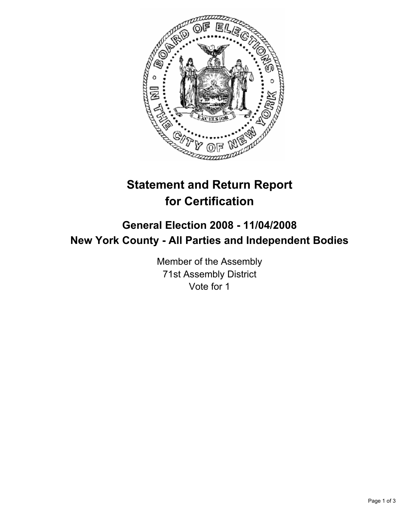

# **Statement and Return Report for Certification**

## **General Election 2008 - 11/04/2008 New York County - All Parties and Independent Bodies**

Member of the Assembly 71st Assembly District Vote for 1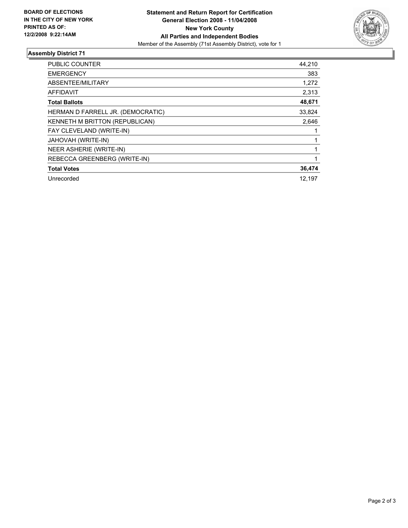

### **Assembly District 71**

| PUBLIC COUNTER                    | 44,210 |
|-----------------------------------|--------|
| <b>EMERGENCY</b>                  | 383    |
| ABSENTEE/MILITARY                 | 1,272  |
| <b>AFFIDAVIT</b>                  | 2,313  |
| <b>Total Ballots</b>              | 48,671 |
| HERMAN D FARRELL JR. (DEMOCRATIC) | 33,824 |
| KENNETH M BRITTON (REPUBLICAN)    | 2,646  |
| FAY CLEVELAND (WRITE-IN)          |        |
| JAHOVAH (WRITE-IN)                |        |
| NEER ASHERIE (WRITE-IN)           |        |
| REBECCA GREENBERG (WRITE-IN)      |        |
| <b>Total Votes</b>                | 36,474 |
| Unrecorded                        | 12.197 |